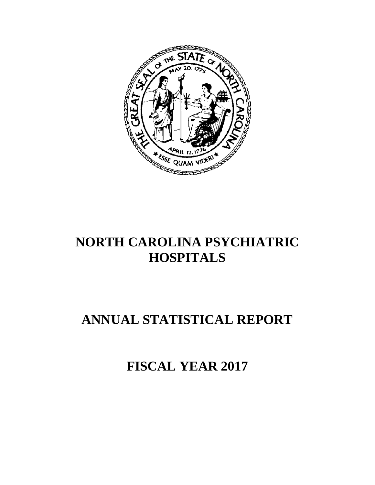

# **NORTH CAROLINA PSYCHIATRIC HOSPITALS**

# **ANNUAL STATISTICAL REPORT**

**FISCAL YEAR 2017**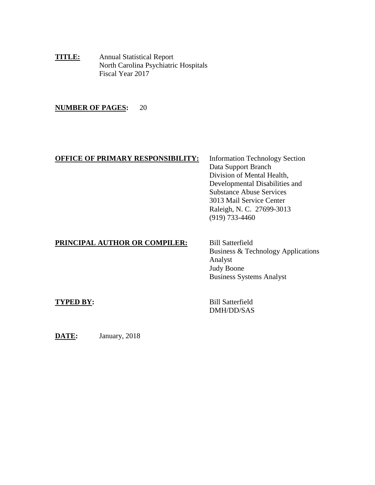**TITLE:** Annual Statistical Report North Carolina Psychiatric Hospitals Fiscal Year 2017

## **NUMBER OF PAGES:** 20

# **OFFICE OF PRIMARY RESPONSIBILITY:** Information Technology Section

Data Support Branch Division of Mental Health, Developmental Disabilities and Substance Abuse Services 3013 Mail Service Center Raleigh, N. C. 27699-3013 (919) 733-4460

# **PRINCIPAL AUTHOR OR COMPILER:** Bill Satterfield

Business & Technology Applications Analyst Judy Boone Business Systems Analyst

**TYPED BY:** Bill Satterfield DMH/DD/SAS

**DATE:** January, 2018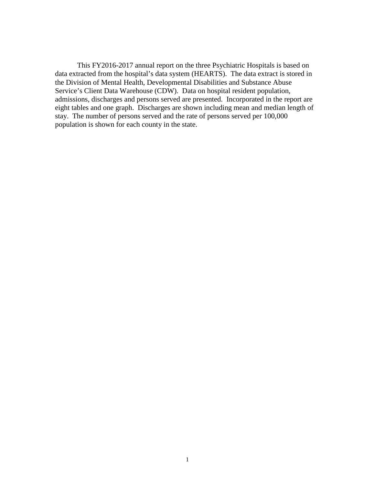This FY2016-2017 annual report on the three Psychiatric Hospitals is based on data extracted from the hospital's data system (HEARTS). The data extract is stored in the Division of Mental Health, Developmental Disabilities and Substance Abuse Service's Client Data Warehouse (CDW). Data on hospital resident population, admissions, discharges and persons served are presented. Incorporated in the report are eight tables and one graph. Discharges are shown including mean and median length of stay. The number of persons served and the rate of persons served per 100,000 population is shown for each county in the state.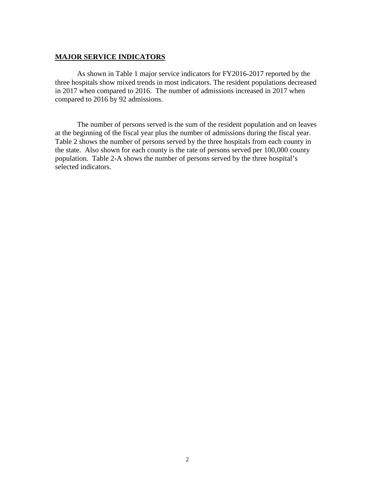## **MAJOR SERVICE INDICATORS**

As shown in Table 1 major service indicators for FY2016-2017 reported by the three hospitals show mixed trends in most indicators. The resident populations decreased in 2017 when compared to 2016. The number of admissions increased in 2017 when compared to 2016 by 92 admissions.

The number of persons served is the sum of the resident population and on leaves at the beginning of the fiscal year plus the number of admissions during the fiscal year. Table 2 shows the number of persons served by the three hospitals from each county in the state. Also shown for each county is the rate of persons served per 100,000 county population. Table 2-A shows the number of persons served by the three hospital's selected indicators.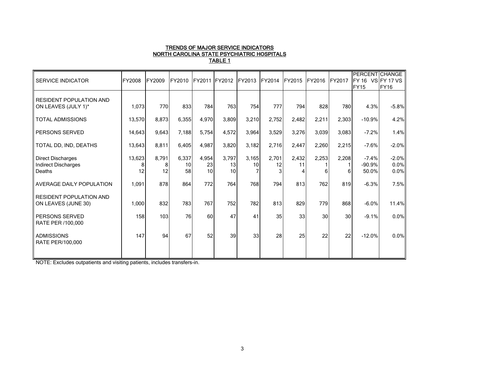#### TRENDS OF MAJOR SERVICE INDICATORS NORTH CAROLINA STATE PSYCHIATRIC HOSPITALS TABLE 1

| <b>SERVICE INDICATOR</b>                                         | FY2008       | <b>FY2009</b> | FY2010            | FY2011 FY2012     |                   | FY2013      | FY2014      | <b>FY2015</b>    | FY2016     | <b>IFY2017</b>  | PERCENT CHANGE<br>FY 16 VS FY 17 VS<br><b>FY15</b> | <b>FY16</b>             |
|------------------------------------------------------------------|--------------|---------------|-------------------|-------------------|-------------------|-------------|-------------|------------------|------------|-----------------|----------------------------------------------------|-------------------------|
| <b>RESIDENT POPULATION AND</b><br>ON LEAVES (JULY 1)*            | 1,073        | 770           | 833               | 784               | 763               | 754         | 777         | 794              | 828        | 780             | 4.3%                                               | $-5.8%$                 |
| <b>TOTAL ADMISSIONS</b>                                          | 13,570       | 8,873         | 6,355             | 4,970             | 3,809             | 3,210       | 2,752       | 2,482            | 2,211      | 2,303           | $-10.9%$                                           | 4.2%                    |
| PERSONS SERVED                                                   | 14,643       | 9,643         | 7,188             | 5,754             | 4,572             | 3,964       | 3,529       | 3,276            | 3,039      | 3,083           | $-7.2%$                                            | 1.4%                    |
| TOTAL DD, IND, DEATHS                                            | 13,643       | 8,811         | 6,405             | 4,987             | 3,820             | 3,182       | 2,716       | 2,447            | 2,260      | 2,215           | $-7.6%$                                            | $-2.0%$                 |
| <b>Direct Discharges</b><br><b>Indirect Discharges</b><br>Deaths | 13,623<br>12 | 8,791<br>12   | 6,337<br>10<br>58 | 4,954<br>23<br>10 | 3,797<br>13<br>10 | 3,165<br>10 | 2,701<br>12 | 2,432<br>11<br>4 | 2,253<br>6 | 2,208           | $-7.4%$<br>$-90.9%$<br>50.0%                       | $-2.0%$<br>0.0%<br>0.0% |
| AVERAGE DAILY POPULATION                                         | 1,091        | 878           | 864               | 772               | 764               | 768         | 794         | 813              | 762        | 819             | $-6.3%$                                            | 7.5%                    |
| <b>RESIDENT POPULATION AND</b><br>ON LEAVES (JUNE 30)            | 1,000        | 832           | 783               | 767               | 752               | 782         | 813         | 829              | 779        | 868             | $-6.0%$                                            | 11.4%                   |
| PERSONS SERVED<br>RATE PER /100,000                              | 158          | 103           | 76                | 60                | 47                | 41          | 35          | 33               | 30         | 30 <sup>1</sup> | $-9.1%$                                            | 0.0%                    |
| <b>ADMISSIONS</b><br>RATE PER/100,000                            | 147          | 94            | 67                | 52                | 39                | 33          | 28          | 25               | 22         | 22              | $-12.0%$                                           | 0.0%                    |

NOTE: Excludes outpatients and visiting patients, includes transfers-in.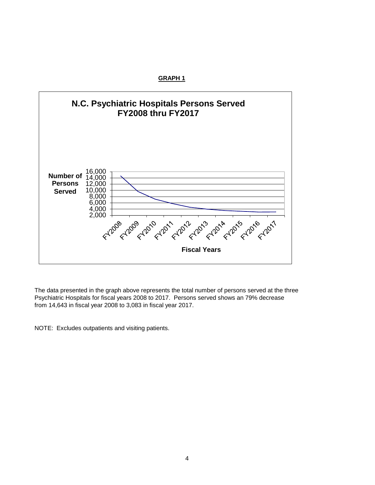

The data presented in the graph above represents the total number of persons served at the three Psychiatric Hospitals for fiscal years 2008 to 2017. Persons served shows an 79% decrease from 14,643 in fiscal year 2008 to 3,083 in fiscal year 2017.

NOTE: Excludes outpatients and visiting patients.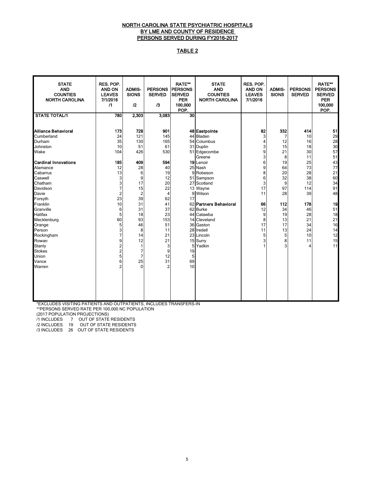## NORTH CAROLINA STATE PSYCHIATRIC HOSPITALS BY LME AND COUNTY OF RESIDENCE PERSONS SERVED DURING FY2016-2017

## TABLE 2

| <b>STATE</b><br><b>AND</b><br><b>COUNTIES</b><br><b>NORTH CAROLINA</b>                                                                                                                                                                                         | RES. POP.<br><b>AND ON</b><br><b>LEAVES</b><br>7/1/2016<br>$\sqrt{1}$                                                                  | <b>ADMIS-</b><br><b>SIONS</b><br>12                                                                                                                                   | PERSONS PERSONS<br><b>SERVED</b><br>$\sqrt{3}$                                                                           | <b>RATE**</b><br><b>SERVED</b><br><b>PER</b><br>100,000<br>POP. | <b>STATE</b><br><b>AND</b><br><b>COUNTIES</b><br><b>NORTH CAROLINA</b>                                                                                                                                                    | RES. POP.<br><b>AND ON</b><br><b>LEAVES</b><br>7/1/2016                            | <b>ADMIS-</b><br><b>SIONS</b>                                                             | <b>PERSONS</b><br><b>SERVED</b>                                                               | <b>RATE**</b><br><b>PERSONS</b><br><b>SERVED</b><br><b>PER</b><br>100,000<br>POP.            |
|----------------------------------------------------------------------------------------------------------------------------------------------------------------------------------------------------------------------------------------------------------------|----------------------------------------------------------------------------------------------------------------------------------------|-----------------------------------------------------------------------------------------------------------------------------------------------------------------------|--------------------------------------------------------------------------------------------------------------------------|-----------------------------------------------------------------|---------------------------------------------------------------------------------------------------------------------------------------------------------------------------------------------------------------------------|------------------------------------------------------------------------------------|-------------------------------------------------------------------------------------------|-----------------------------------------------------------------------------------------------|----------------------------------------------------------------------------------------------|
| <b>STATE TOTAL/1</b>                                                                                                                                                                                                                                           | <b>780</b>                                                                                                                             | 2,303                                                                                                                                                                 | 3,083                                                                                                                    | 30                                                              |                                                                                                                                                                                                                           |                                                                                    |                                                                                           |                                                                                               |                                                                                              |
| Alliance Behavioral<br>Cumberland<br>Durham                                                                                                                                                                                                                    | 173<br>24<br>35                                                                                                                        | 728<br>121<br>130                                                                                                                                                     | 901<br>145<br>165                                                                                                        |                                                                 | 48 Eastpointe<br>44 Bladen<br>54 Columbus                                                                                                                                                                                 | 82<br>3<br>4                                                                       | 332<br>$\overline{7}$<br>12                                                               | 414<br>10<br>16                                                                               | 51<br>29<br>28                                                                               |
| Johnston                                                                                                                                                                                                                                                       | 10                                                                                                                                     | 51                                                                                                                                                                    | 61                                                                                                                       |                                                                 | 31 Duplin                                                                                                                                                                                                                 | 3                                                                                  | 15                                                                                        | 18                                                                                            | 30                                                                                           |
| Wake                                                                                                                                                                                                                                                           | 104                                                                                                                                    | 426                                                                                                                                                                   | 530                                                                                                                      |                                                                 | 51 Edgecombe<br>Greene                                                                                                                                                                                                    | 9<br>3                                                                             | 21<br>8                                                                                   | 30<br>11                                                                                      | 57<br>51                                                                                     |
| <b>Cardinal Innovations</b><br>Alamance<br>Cabarrus<br>Caswell<br>Chatham<br>Davidson<br>Davie<br>Forsyth<br>Franklin<br>Granville<br>Halifax<br>Mecklenburg<br>Orange<br>Person<br>Rockingham<br>Rowan<br>Stanly<br><b>Stokes</b><br>Union<br>Vance<br>Warren | 185<br>12<br>13<br>3<br>3<br>7<br>$\overline{c}$<br>23<br>10<br>6<br>5<br>60<br>5<br>3<br>7<br>9<br>2<br>2<br>5<br>6<br>$\overline{2}$ | 409<br>28<br>6<br>9<br>17<br>15<br>$\overline{c}$<br>39<br>31<br>31<br>18<br>93<br>46<br>8<br>14<br>12<br>1<br>$\overline{7}$<br>$\overline{7}$<br>25<br>$\mathbf{0}$ | 594<br>40<br>19<br>12<br>20<br>22<br>4<br>62<br>41<br>37<br>23<br>153<br>51<br>11<br>21<br>21<br>3<br>9<br>12<br>31<br>2 | 9<br>17<br>19<br>5<br>69<br>10                                  | 19 Lenoir<br>25 Nash<br>Robeson<br>51 Sampson<br>27 Scotland<br>13 Wayne<br>9 Wilson<br>62 Partners Behavioral<br>62 Burke<br>44 Catawba<br>14 Cleveland<br>36 Gaston<br>28 Iredell<br>23 Lincoln<br>15 Surry<br>5 Yadkin | 6<br>9<br>8<br>6<br>3<br>17<br>11<br>66<br>12<br>9<br>8<br>17<br>11<br>5<br>3<br>1 | 19<br>64<br>20<br>32<br>9<br>97<br>28<br>112<br>34<br>19<br>13<br>17<br>13<br>5<br>8<br>3 | 25<br>73<br>28<br>38<br>12<br>114<br>39<br>178<br>46<br>28<br>21<br>34<br>24<br>10<br>11<br>4 | 43<br>77<br>21<br>60<br>34<br>91<br>48<br>19<br>51<br>18<br>21<br>16<br>14<br>12<br>15<br>11 |
|                                                                                                                                                                                                                                                                |                                                                                                                                        |                                                                                                                                                                       |                                                                                                                          |                                                                 |                                                                                                                                                                                                                           |                                                                                    |                                                                                           |                                                                                               |                                                                                              |

 \*EXCLUDES VISITING PATIENTS AND OUTPATIENTS, INCLUDES TRANSFERS-IN \*\*PERSONS SERVED RATE PER 100,000 NC POPULATION

(2017 POPULATION PROJECTIONS)

/1 INCLUDES 7 OUT OF STATE RESIDENTS

/2 INCLUDES 19 OUT OF STATE RESIDENTS

/3 INCLUDES 26 OUT OF STATE RESIDENTS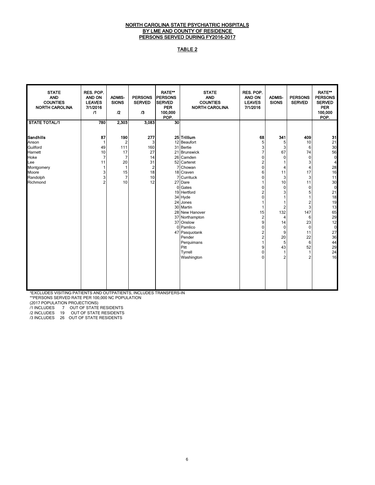### NORTH CAROLINA STATE PSYCHIATRIC HOSPITALS BY LME AND COUNTY OF RESIDENCE PERSONS SERVED DURING FY2016-2017

## TABLE 2

| <b>STATE</b><br><b>AND</b><br><b>COUNTIES</b><br><b>NORTH CAROLINA</b>                                  | RES. POP.<br>AND ON<br><b>LEAVES</b><br>7/1/2016<br>$\sqrt{1}$             | <b>ADMIS-</b><br><b>SIONS</b><br>$\mathfrak{p}$                                                        | <b>PERSONS</b><br><b>SERVED</b><br>$\sqrt{3}$                         | RATE**<br><b>PERSONS</b><br><b>SERVED</b><br><b>PER</b><br>100.000<br>POP. | <b>STATE</b><br><b>AND</b><br><b>COUNTIES</b><br><b>NORTH CAROLINA</b>                                                                                                                                                                                                                                              | RES. POP.<br>AND ON<br><b>LEAVES</b><br>7/1/2016                                                                                                        | <b>ADMIS-</b><br><b>SIONS</b>                                                                                                                 | <b>PERSONS</b><br><b>SERVED</b>                                                                                                                                     | <b>RATE**</b><br><b>PERSONS</b><br><b>SERVED</b><br><b>PER</b><br>100,000<br>POP.                                                                                                   |
|---------------------------------------------------------------------------------------------------------|----------------------------------------------------------------------------|--------------------------------------------------------------------------------------------------------|-----------------------------------------------------------------------|----------------------------------------------------------------------------|---------------------------------------------------------------------------------------------------------------------------------------------------------------------------------------------------------------------------------------------------------------------------------------------------------------------|---------------------------------------------------------------------------------------------------------------------------------------------------------|-----------------------------------------------------------------------------------------------------------------------------------------------|---------------------------------------------------------------------------------------------------------------------------------------------------------------------|-------------------------------------------------------------------------------------------------------------------------------------------------------------------------------------|
| <b>STATE TOTAL/1</b>                                                                                    | 780                                                                        | 2,303                                                                                                  | 3,083                                                                 | 30                                                                         |                                                                                                                                                                                                                                                                                                                     |                                                                                                                                                         |                                                                                                                                               |                                                                                                                                                                     |                                                                                                                                                                                     |
| Sandhills<br>Anson<br>Guilford<br>Harnett<br>Hoke<br>Lee<br>Montgomery<br>Moore<br>Randolph<br>Richmond | 87<br>$\mathbf{1}$<br>49<br>10<br>7<br>11<br>1<br>3<br>3<br>$\overline{2}$ | 190<br>$\overline{\mathbf{c}}$<br>111<br>17<br>$\overline{7}$<br>20<br>1<br>15<br>$\overline{7}$<br>10 | 277<br>3<br>160<br>27<br>14<br>31<br>$\overline{2}$<br>18<br>10<br>12 |                                                                            | 25 Trillium<br>12 Beaufort<br>31 Bertie<br>21 Brunswick<br>26 Camden<br>52 Carteret<br>7 Chowan<br>18 Craven<br>7 Currituck<br>27 Dare<br>0 Gates<br>19 Hertford<br>34 Hyde<br>24 Jones<br>30 Martin<br>28 New Hanover<br>37 Northampton<br>37 Onslow<br>0 Pamlico<br>47 Pasquotank<br>Pender<br>Perquimans<br>Pitt | 68<br>5<br>3<br>7<br>$\Omega$<br>$\overline{2}$<br>$\Omega$<br>6<br>$\mathbf{0}$<br>$\mathbf{0}$<br>$\Omega$<br>15<br>2<br>9<br>$\Omega$<br>2<br>2<br>9 | 341<br>5<br>3<br>67<br>0<br>1<br>4<br>11<br>3<br>10<br>$\mathbf 0$<br>3<br>1<br>1<br>2<br>132<br>4<br>14<br>$\mathbf 0$<br>9<br>20<br>5<br>43 | 409<br>10<br>6<br>74<br>0<br>3<br>$\overline{\mathbf{4}}$<br>17<br>3<br>11<br>0<br>5<br>1<br>$\mathbf 2$<br>3<br>147<br>6<br>23<br>$\pmb{0}$<br>11<br>22<br>6<br>52 | 31<br>21<br>30<br>56<br>$\mathbf 0$<br>$\overline{4}$<br>28<br>16<br>11<br>30<br>$\mathbf 0$<br>21<br>18<br>19<br>13<br>65<br>29<br>12<br>$\mathbf 0$<br>27<br>36<br>44<br>29<br>24 |
|                                                                                                         |                                                                            |                                                                                                        |                                                                       |                                                                            | Tyrrell<br>Washington                                                                                                                                                                                                                                                                                               | $\Omega$<br>$\Omega$                                                                                                                                    | 1<br>2                                                                                                                                        | 1<br>2                                                                                                                                                              | 16                                                                                                                                                                                  |

\*EXCLUDES VISITING PATIENTS AND OUTPATIENTS, INCLUDES TRANSFERS-IN

\*\*PERSONS SERVED RATE PER 100,000 NC POPULATION

(2017 POPULATION PROJECTIONS)

/1 INCLUDES 7 OUT OF STATE RESIDENTS

/2 INCLUDES 19 OUT OF STATE RESIDENTS

/3 INCLUDES 26 OUT OF STATE RESIDENTS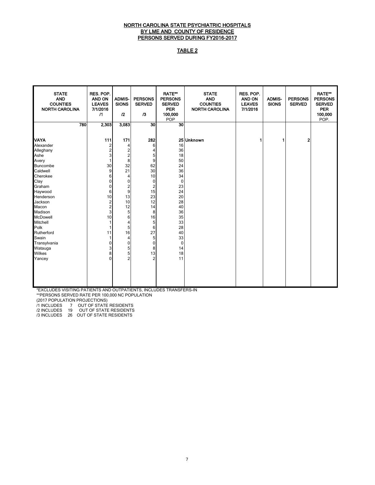## NORTH CAROLINA STATE PSYCHIATRIC HOSPITALS BY LME AND COUNTY OF RESIDENCE PERSONS SERVED DURING FY2016-2017

## TABLE 2

| <b>STATE</b><br><b>AND</b><br><b>COUNTIES</b><br><b>NORTH CAROLINA</b> | RES. POP.<br><b>AND ON</b><br><b>LEAVES</b><br>7/1/2016<br>$\sqrt{1}$ | <b>ADMIS-</b><br><b>SIONS</b><br>12 | <b>PERSONS</b><br><b>SERVED</b><br>$\sqrt{3}$ | <b>RATE**</b><br><b>PERSONS</b><br><b>SERVED</b><br><b>PER</b><br>100,000<br>POP | <b>STATE</b><br><b>AND</b><br><b>COUNTIES</b><br><b>NORTH CAROLINA</b> | RES. POP.<br>AND ON<br><b>LEAVES</b><br>7/1/2016 | <b>ADMIS-</b><br><b>SIONS</b> | <b>PERSONS</b><br><b>SERVED</b> | <b>RATE**</b><br><b>PERSONS</b><br><b>SERVED</b><br><b>PER</b><br>100,000<br>POP. |
|------------------------------------------------------------------------|-----------------------------------------------------------------------|-------------------------------------|-----------------------------------------------|----------------------------------------------------------------------------------|------------------------------------------------------------------------|--------------------------------------------------|-------------------------------|---------------------------------|-----------------------------------------------------------------------------------|
| 780                                                                    | 2,303                                                                 | 3,083                               | 30                                            | 30                                                                               |                                                                        |                                                  |                               |                                 |                                                                                   |
|                                                                        |                                                                       |                                     |                                               |                                                                                  |                                                                        |                                                  |                               |                                 |                                                                                   |
| <b>VAYA</b>                                                            | 111                                                                   | 171                                 | 282                                           |                                                                                  | 25 Unknown                                                             |                                                  |                               | 2                               |                                                                                   |
| Alexander                                                              | 2                                                                     | 4                                   | 6                                             | 16                                                                               |                                                                        |                                                  |                               |                                 |                                                                                   |
| Alleghany                                                              | $\overline{2}$                                                        | 2                                   | 4                                             | 36                                                                               |                                                                        |                                                  |                               |                                 |                                                                                   |
| Ashe                                                                   | 3                                                                     | $\overline{2}$                      | 5                                             | 18                                                                               |                                                                        |                                                  |                               |                                 |                                                                                   |
| Avery                                                                  |                                                                       | 8                                   | 9                                             | 50                                                                               |                                                                        |                                                  |                               |                                 |                                                                                   |
| Buncombe                                                               | 30                                                                    | 32                                  | 62                                            | 24                                                                               |                                                                        |                                                  |                               |                                 |                                                                                   |
| Caldwell                                                               | 9                                                                     | 21                                  | 30                                            | 36                                                                               |                                                                        |                                                  |                               |                                 |                                                                                   |
| Cherokee                                                               | 6                                                                     | 4                                   | 10                                            | 34                                                                               |                                                                        |                                                  |                               |                                 |                                                                                   |
| Clay                                                                   | 0                                                                     | $\mathbf 0$                         | 0                                             | $\mathbf 0$                                                                      |                                                                        |                                                  |                               |                                 |                                                                                   |
| Graham                                                                 | 0                                                                     | 2                                   | $\boldsymbol{2}$                              | 23                                                                               |                                                                        |                                                  |                               |                                 |                                                                                   |
| Haywood                                                                | 6                                                                     | 9                                   | 15                                            | 24                                                                               |                                                                        |                                                  |                               |                                 |                                                                                   |
| Henderson                                                              | 10                                                                    | 13                                  | 23                                            | 20                                                                               |                                                                        |                                                  |                               |                                 |                                                                                   |
| Jackson                                                                | 2                                                                     | 10                                  | 12                                            | 28                                                                               |                                                                        |                                                  |                               |                                 |                                                                                   |
| Macon                                                                  | $\overline{c}$                                                        | 12                                  | 14                                            | 40                                                                               |                                                                        |                                                  |                               |                                 |                                                                                   |
| Madison                                                                | 3                                                                     | 5                                   | 8                                             | 36                                                                               |                                                                        |                                                  |                               |                                 |                                                                                   |
| McDowell                                                               | 10                                                                    | $6 \,$                              | 16                                            | 35                                                                               |                                                                        |                                                  |                               |                                 |                                                                                   |
| Mitchell                                                               |                                                                       | 4                                   | 5                                             | 33                                                                               |                                                                        |                                                  |                               |                                 |                                                                                   |
| Polk                                                                   |                                                                       | 5                                   | 6                                             | 28                                                                               |                                                                        |                                                  |                               |                                 |                                                                                   |
| Rutherford                                                             | 11                                                                    | 16                                  | 27                                            | 40                                                                               |                                                                        |                                                  |                               |                                 |                                                                                   |
| Swain                                                                  |                                                                       | 4                                   | 5                                             | 33                                                                               |                                                                        |                                                  |                               |                                 |                                                                                   |
| Transylvania                                                           | 0                                                                     | 0                                   | 0                                             | $\mathbf{0}$                                                                     |                                                                        |                                                  |                               |                                 |                                                                                   |
| Watauga                                                                | 3                                                                     | 5                                   | 8                                             | 14                                                                               |                                                                        |                                                  |                               |                                 |                                                                                   |
| Wilkes                                                                 | 8                                                                     | 5 <sup>1</sup>                      | 13                                            | 18                                                                               |                                                                        |                                                  |                               |                                 |                                                                                   |
| Yancey                                                                 | $\Omega$                                                              | $\overline{2}$                      | $\overline{2}$                                | 11                                                                               |                                                                        |                                                  |                               |                                 |                                                                                   |
|                                                                        |                                                                       |                                     |                                               |                                                                                  |                                                                        |                                                  |                               |                                 |                                                                                   |
|                                                                        |                                                                       |                                     |                                               |                                                                                  |                                                                        |                                                  |                               |                                 |                                                                                   |
|                                                                        |                                                                       |                                     |                                               |                                                                                  |                                                                        |                                                  |                               |                                 |                                                                                   |
|                                                                        |                                                                       |                                     |                                               |                                                                                  |                                                                        |                                                  |                               |                                 |                                                                                   |
|                                                                        |                                                                       |                                     |                                               |                                                                                  |                                                                        |                                                  |                               |                                 |                                                                                   |

\*EXCLUDES VISITING PATIENTS AND OUTPATIENTS, INCLUDES TRANSFERS-IN

\*\*PERSONS SERVED RATE PER 100,000 NC POPULATION

(2017 POPULATION PROJECTIONS)

/1 INCLUDES 7 OUT OF STATE RESIDENTS

/2 INCLUDES 19 OUT OF STATE RESIDENTS /3 INCLUDES 26 OUT OF STATE RESIDENTS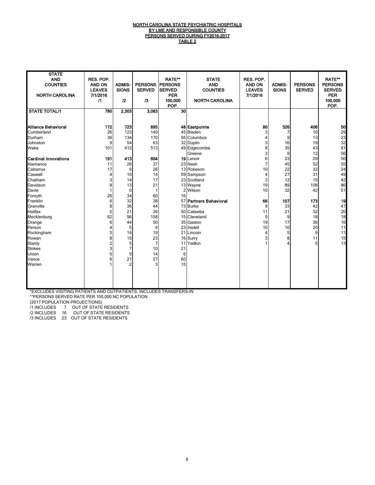#### <u>NORTH CAROLINA STATE PSYCHIATRIC HOSPITALS</u> <u>BY LME AND RESPONSIBLE COUNTY</u> PERSONS SERVED DURING FY2016-2017 TABLE 2

| <b>STATE</b><br><b>AND</b><br><b>COUNTIES</b><br><b>NORTH CAROLINA</b> | RES. POP.<br><b>AND ON</b><br><b>LEAVES</b><br>7/1/2016<br>$\sqrt{1}$ | <b>ADMIS-</b><br><b>SIONS</b><br>12 | <b>PERSONS</b><br><b>SERVED</b><br>$\sqrt{3}$ | <b>RATE**</b><br><b>IPERSONS</b><br><b>SERVED</b><br><b>PER</b><br>100,000<br>POP. | <b>STATE</b><br><b>AND</b><br><b>COUNTIES</b><br><b>NORTH CAROLINA</b> | RES. POP.<br><b>AND ON</b><br><b>LEAVES</b><br>7/1/2016 | <b>ADMIS-</b><br><b>SIONS</b> | <b>PERSONS</b><br><b>SERVED</b> | <b>RATE**</b><br><b>PERSONS</b><br><b>SERVED</b><br><b>PER</b><br>100,000<br>POP. |
|------------------------------------------------------------------------|-----------------------------------------------------------------------|-------------------------------------|-----------------------------------------------|------------------------------------------------------------------------------------|------------------------------------------------------------------------|---------------------------------------------------------|-------------------------------|---------------------------------|-----------------------------------------------------------------------------------|
| <b>STATE TOTAL/1</b>                                                   | 780                                                                   | 2,303                               | 3,083                                         | 30                                                                                 |                                                                        |                                                         |                               |                                 |                                                                                   |
| Alliance Behavioral                                                    | 172                                                                   | 723                                 | 895                                           |                                                                                    | 48 Eastpointe                                                          | 80                                                      | 326                           | 406                             | 50                                                                                |
| Cumberland                                                             | 26                                                                    | 123                                 | 149                                           |                                                                                    | 45 Bladen                                                              | 3                                                       | 7                             | 10                              | 29                                                                                |
| Durham                                                                 | 36                                                                    | 134                                 | 170                                           |                                                                                    | 56 Columbus                                                            | 4                                                       | 9                             | 13                              | 23<br>32                                                                          |
| Johnston                                                               | 9                                                                     | 54                                  | 63                                            |                                                                                    | 32 Duplin                                                              | 3                                                       | 16                            | 19                              |                                                                                   |
| Wake                                                                   | 101                                                                   | 412                                 | 513                                           |                                                                                    | 49 Edgecombe                                                           | 8                                                       | 35                            | 43                              | 81                                                                                |
|                                                                        |                                                                       |                                     |                                               |                                                                                    | Greene                                                                 | 3                                                       | 9                             | 12                              | 56                                                                                |
| <b>Cardinal Innovations</b>                                            | 191                                                                   | 413                                 | 604                                           |                                                                                    | 19 Lenoir                                                              | 6                                                       | 23                            | 29                              | 50                                                                                |
| Alamance                                                               | 11                                                                    | 26                                  | 37                                            |                                                                                    | 23 Nash                                                                | 7                                                       | 45                            | 52                              | 55                                                                                |
| Cabarrus                                                               | 17                                                                    | 9                                   | 26                                            |                                                                                    | 13 Robeson                                                             | 10                                                      | 22                            | 32                              | 24                                                                                |
| Caswell                                                                | 4                                                                     | 10                                  | 14                                            |                                                                                    | 59 Sampson                                                             | $\overline{\mathbf{4}}$                                 | 27                            | 31                              | 49                                                                                |
| Chatham                                                                | 3                                                                     | 14                                  | 17                                            |                                                                                    | 23 Scotland                                                            | 3                                                       | 12                            | 15                              | 42                                                                                |
| Davidson                                                               | 8                                                                     | 13                                  | 21                                            |                                                                                    | 13 Wayne                                                               | 19                                                      | 89                            | 108                             | 86                                                                                |
| Davie                                                                  |                                                                       | $\mathbf 0$                         | 1                                             | $\overline{2}$                                                                     | Wilson                                                                 | 10                                                      | 32                            | 42                              | 51                                                                                |
| Forsyth                                                                | 26                                                                    | 34                                  | 60                                            | 16                                                                                 |                                                                        |                                                         |                               |                                 |                                                                                   |
| Franklin                                                               | 6                                                                     | 32                                  | 38                                            |                                                                                    | 57 Partners Behavioral                                                 | 66                                                      | 107                           | 173                             | 19                                                                                |
| Granville                                                              | 8                                                                     | 36                                  | 44                                            |                                                                                    | 73 Burke                                                               | 9                                                       | 33                            | 42                              | 47                                                                                |
| Halifax                                                                | 5                                                                     | 21                                  | 26                                            |                                                                                    | 50 Catawba                                                             | 11                                                      | 21                            | 32                              | 20                                                                                |
| Mecklenburg                                                            | 62                                                                    | 96                                  | 158                                           |                                                                                    | 15 Cleveland                                                           | 9                                                       | 9                             | 18                              | 18                                                                                |
| Orange                                                                 | 6                                                                     | 44                                  | 50                                            |                                                                                    | 35 Gaston                                                              | 19                                                      | 17                            | 36                              | 16                                                                                |
| Person                                                                 | 4                                                                     | 5                                   | 9                                             |                                                                                    | 23 Iredell                                                             | 10                                                      | 10                            | 20                              | 11                                                                                |
| Rockingham                                                             | 5                                                                     | 14                                  | 19                                            |                                                                                    | 21 Lincoln                                                             | $\overline{4}$                                          | 5                             | 9                               | 11                                                                                |
| Rowan                                                                  | 8                                                                     | 15                                  | 23                                            |                                                                                    | 16 Surry                                                               | 3                                                       | 8                             | 11                              | 15                                                                                |
| Stanly                                                                 | $\overline{2}$                                                        | 5                                   | $\overline{7}$                                | 11                                                                                 | Yadkin                                                                 | 1                                                       | 4                             | 5                               | 13                                                                                |
| <b>Stokes</b>                                                          | 3                                                                     | $\overline{7}$                      | 10                                            | 21                                                                                 |                                                                        |                                                         |                               |                                 |                                                                                   |
| Union                                                                  | 5                                                                     | 9                                   | 14                                            | 6                                                                                  |                                                                        |                                                         |                               |                                 |                                                                                   |
| Vance                                                                  | 6                                                                     | 21                                  | 27                                            | 60                                                                                 |                                                                        |                                                         |                               |                                 |                                                                                   |
| Warren                                                                 |                                                                       | $\overline{2}$                      | 3                                             | 15                                                                                 |                                                                        |                                                         |                               |                                 |                                                                                   |

\*EXCLUDES VISITING PATIENTS AND OUTPATIENTS, INCLUDES TRANSFERS-IN

\*\*PERSONS SERVED RATE PER 100,000 NC POPULATION

(2017 POPULATION PROJECTIONS)

/1 INCLUDES 7 OUT OF STATE RESIDENTS

/2 INCLUDES 16 OUT OF STATE RESIDENTS

/3 INCLUDES 23 OUT OF STATE RESIDENTS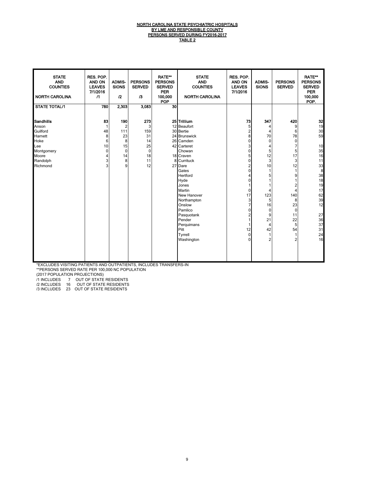#### NORTH CAROLINA STATE PSYCHIATRIC HOSPITALS <u>BY LME AND RESPONSIBLE COUNTY</u> PERSONS SERVED DURING FY2016-2017 <u>TABLE 2</u>

| <b>STATE</b><br><b>AND</b><br><b>COUNTIES</b><br><b>NORTH CAROLINA</b>                                  | RES. POP.<br>AND ON<br><b>LEAVES</b><br>7/1/2016<br>$\sqrt{1}$ | <b>ADMIS-</b><br><b>SIONS</b><br>12                                          | <b>PERSONS</b><br><b>SERVED</b><br>$\sqrt{3}$                    | <b>RATE**</b><br><b>PERSONS</b><br><b>SERVED</b><br><b>PER</b><br>100,000<br><b>POP</b> | <b>STATE</b><br><b>AND</b><br><b>COUNTIES</b><br><b>NORTH CAROLINA</b>                                                                                                                                                                                                                                         | RES. POP.<br>AND ON<br><b>LEAVES</b><br>7/1/2016                                                                                                                      | <b>ADMIS-</b><br><b>SIONS</b>                                                                                                                                      | <b>PERSONS</b><br><b>SERVED</b>                                                                                                              | <b>RATE**</b><br><b>PERSONS</b><br><b>SERVED</b><br><b>PER</b><br>100,000<br>POP.                                                                                         |
|---------------------------------------------------------------------------------------------------------|----------------------------------------------------------------|------------------------------------------------------------------------------|------------------------------------------------------------------|-----------------------------------------------------------------------------------------|----------------------------------------------------------------------------------------------------------------------------------------------------------------------------------------------------------------------------------------------------------------------------------------------------------------|-----------------------------------------------------------------------------------------------------------------------------------------------------------------------|--------------------------------------------------------------------------------------------------------------------------------------------------------------------|----------------------------------------------------------------------------------------------------------------------------------------------|---------------------------------------------------------------------------------------------------------------------------------------------------------------------------|
| <b>STATE TOTAL/1</b>                                                                                    | 780                                                            | 2,303                                                                        | 3,083                                                            | 30                                                                                      |                                                                                                                                                                                                                                                                                                                |                                                                                                                                                                       |                                                                                                                                                                    |                                                                                                                                              |                                                                                                                                                                           |
| Sandhills<br>Anson<br>Guilford<br>Harnett<br>Hoke<br>Lee<br>Montgomery<br>Moore<br>Randolph<br>Richmond | 83<br>1<br>48<br>8<br>6<br>10<br>0<br>4<br>3<br>3              | 190<br>$\overline{2}$<br>111<br>23<br>8<br>15<br>$\mathbf 0$<br>14<br>8<br>9 | 273<br>3<br>159<br>31<br>14<br>25<br>$\pmb{0}$<br>18<br>11<br>12 |                                                                                         | 25 Trillium<br>12 Beaufort<br>30 Bertie<br>24 Brunswick<br>26 Camden<br>42 Carteret<br>Chowan<br>18 Craven<br>8 Currituck<br>27 Dare<br>Gates<br>Hertford<br>Hyde<br>Jones<br>Martin<br>New Hanover<br>Northampton<br>Onslow<br>Pamlico<br>Pasquotank<br>Pender<br>Perquimans<br>Pitt<br>Tyrrell<br>Washington | 73<br>5<br>$\overline{\mathbf{c}}$<br>8<br>0<br>3<br>0<br>5<br>0<br>2<br>$\Omega$<br>4<br>0<br>0<br>17<br>3<br>7<br>0<br>2<br>1<br>1<br>12<br>$\mathbf 0$<br>$\Omega$ | 347<br>4<br>4<br>70<br>$\mathbf 0$<br>4<br>5<br>12<br>3<br>10<br>5<br>4<br>123<br>5<br>16<br>$\mathbf 0$<br>9<br>21<br>$\overline{4}$<br>42<br>1<br>$\overline{2}$ | 420<br>9<br>6<br>78<br>0<br>7<br>5<br>17<br>3<br>12<br>9<br>2<br>4<br>140<br>8<br>23<br>$\mathbf 0$<br>11<br>22<br>5<br>54<br>$\overline{2}$ | $\begin{array}{c} \n 32 \\ 19\n \end{array}$<br>30<br>59<br>10<br>35<br>16<br>11<br>33<br>8<br>38<br>18<br>19<br>17<br>62<br>39<br>12<br>27<br>36<br>37<br>31<br>24<br>16 |

\*EXCLUDES VISITING PATIENTS AND OUTPATIENTS, INCLUDES TRANSFERS-IN

\*\*PERSONS SERVED RATE PER 100,000 NC POPULATION

(2017 POPULATION PROJECTIONS)

/1 INCLUDES 7 OUT OF STATE RESIDENTS

/2 INCLUDES 16 OUT OF STATE RESIDENTS /3 INCLUDES 23 OUT OF STATE RESIDENTS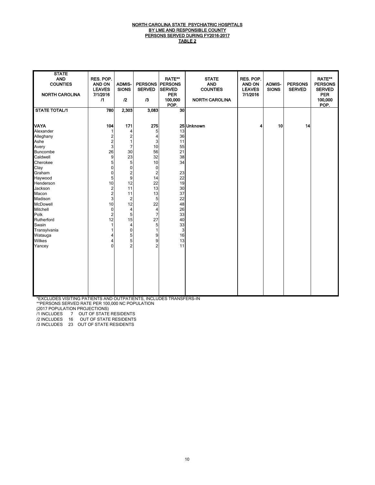#### <u>NORTH CAROLINA STATE PSYCHIATRIC HOSPITALS</u> <u>BY LME AND RESPONSIBLE COUNTY</u> PERSONS SERVED DURING FY2016-2017 TABLE 2

| <b>STATE</b><br><b>AND</b><br><b>COUNTIES</b><br><b>NORTH CAROLINA</b><br><b>STATE TOTAL/1</b>                                                                                                                                                                                   | RES. POP.<br><b>AND ON</b><br><b>LEAVES</b><br>7/1/2016<br>$\sqrt{1}$<br>780                                                                                                                                                          | <b>ADMIS-</b><br><b>SIONS</b><br>12<br>2,303                                                                                                                                                                                   | <b>PERSONS PERSONS</b><br><b>SERVED</b><br>13<br>3,083                                                                                                                                                      | <b>RATE**</b><br><b>SERVED</b><br><b>PER</b><br>100,000<br>POP.<br>30                                                           | <b>STATE</b><br><b>AND</b><br><b>COUNTIES</b><br><b>NORTH CAROLINA</b> | RES. POP.<br><b>AND ON</b><br><b>LEAVES</b><br>7/1/2016 | <b>ADMIS-</b><br><b>SIONS</b> | <b>PERSONS</b><br><b>SERVED</b> | <b>RATE**</b><br><b>PERSONS</b><br><b>SERVED</b><br><b>PER</b><br>100,000<br>POP. |
|----------------------------------------------------------------------------------------------------------------------------------------------------------------------------------------------------------------------------------------------------------------------------------|---------------------------------------------------------------------------------------------------------------------------------------------------------------------------------------------------------------------------------------|--------------------------------------------------------------------------------------------------------------------------------------------------------------------------------------------------------------------------------|-------------------------------------------------------------------------------------------------------------------------------------------------------------------------------------------------------------|---------------------------------------------------------------------------------------------------------------------------------|------------------------------------------------------------------------|---------------------------------------------------------|-------------------------------|---------------------------------|-----------------------------------------------------------------------------------|
| <b>VAYA</b><br>Alexander<br>Alleghany<br>Ashe<br>Avery<br>Buncombe<br>Caldwell<br>Cherokee<br>Clay<br>Graham<br>Haywood<br>Henderson<br>Jackson<br>Macon<br>Madison<br>McDowell<br><b>Mitchell</b><br>Polk<br>Rutherford<br>Swain<br>Transylvania<br>Watauga<br>Wilkes<br>Yancey | 104<br>2<br>$\overline{\mathbf{c}}$<br>3<br>26<br>9<br>5 <sup>1</sup><br>$\mathbf{0}$<br>$\mathbf{0}$<br>5<br>10<br>$\overline{c}$<br>$\overline{\mathbf{c}}$<br>3<br>10<br>$\mathbf 0$<br>$\overline{2}$<br>12<br>1<br>4<br>$\Omega$ | 171<br>4<br>$\overline{\mathbf{c}}$<br>1<br>7<br>30<br>23<br>5<br>$\mathbf 0$<br>$\frac{2}{9}$<br>12<br>11<br>11<br>$\overline{2}$<br>12<br>$\overline{\mathbf{4}}$<br>5<br>15<br>4<br>$\mathbf 0$<br>5<br>5<br>$\overline{2}$ | 275<br>5<br>$\overline{4}$<br>3<br>10<br>56<br>32<br>10<br>$\mathbf 0$<br>$\overline{c}$<br>14<br>22<br>13<br>13<br>5<br>22<br>$\overline{4}$<br>$\overline{7}$<br>27<br>5<br>1<br>9<br>9<br>$\overline{2}$ | 13<br>36<br>11<br>55<br>21<br>38<br>34<br>23<br>22<br>19<br>30<br>37<br>22<br>48<br>26<br>33<br>40<br>33<br>3<br>16<br>13<br>11 | 25 Unknown                                                             | 4                                                       | 10                            | 14                              |                                                                                   |

\*EXCLUDES VISITING PATIENTS AND OUTPATIENTS, INCLUDES TRANSFERS-IN

\*\*PERSONS SERVED RATE PER 100,000 NC POPULATION

(2017 POPULATION PROJECTIONS)

/1 INCLUDES 7 OUT OF STATE RESIDENTS

/2 INCLUDES 16 OUT OF STATE RESIDENTS

/3 INCLUDES 23 OUT OF STATE RESIDENTS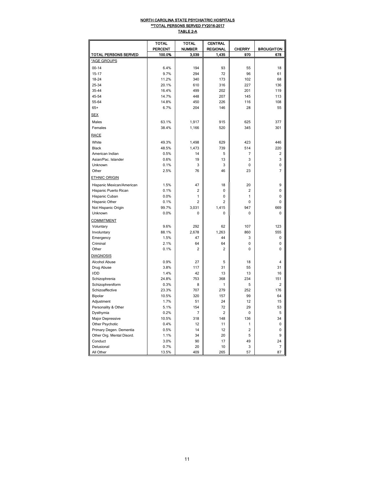#### <u>NORTH CAROLINA STATE PSYCHIATRIC HOSPITALS</u> \*\*TOTAL PERSONS SERVED FY2016-2017 TABLE 2-A

|                           | <b>TOTAL</b>   | TOTAL          | CENTRAL         |                |                  |
|---------------------------|----------------|----------------|-----------------|----------------|------------------|
|                           | <b>PERCENT</b> | <b>NUMBER</b>  | <b>REGIONAL</b> | <b>CHERRY</b>  | <b>BROUGHTON</b> |
| TOTAL PERSONS SERVED      | 100.0%         | 3.039          | 1.435           | 970            | 678              |
| *AGE GROUPS               |                |                |                 |                |                  |
| $00 - 14$                 | 6.4%           | 194            | 93              | 55             | 18               |
| $15 - 17$                 | 9.7%           | 294            | 72              | 96             | 61               |
| 18-24                     | 11.2%          | 340            | 173             | 102            | 68               |
| 25-34                     | 20.1%          | 610            | 316             | 227            | 136              |
| 35-44                     | 16.4%          | 499            | 202             | 201            | 119              |
| 45-54                     | 14.7%          | 448            | 207             | 145            | 113              |
| 55-64                     | 14.8%          | 450            | 226             | 116            | 108              |
| $65+$                     | 6.7%           | 204            | 146             | 28             | 55               |
| <b>SEX</b>                |                |                |                 |                |                  |
| Males                     | 63.1%          | 1,917          | 915             | 625            | 377              |
| Females                   | 38.4%          | 1,166          | 520             | 345            | 301              |
| <b>RACE</b>               |                |                |                 |                |                  |
| White                     | 49.3%          | 1.498          | 629             | 423            | 446              |
| <b>Black</b>              | 48.5%          | 1,473          | 739             | 514            | 220              |
| American Indian           | 0.5%           | 14             | 5               | 7              | $\overline{2}$   |
| Asian/Pac. Islander       | 0.6%           | 19             | 13              | 3              | 3                |
| <b>Unknown</b>            | 0.1%           | 3              | 3               | 0              | $\mathbf 0$      |
| Other                     | 2.5%           | 76             | 46              | 23             | 7                |
| <b>ETHNIC ORIGIN</b>      |                |                |                 |                |                  |
| Hispanic Mexican/American | 1.5%           | 47             | 18              | 20             | 9                |
| Hispanic Puerto Rican     | 0.1%           | $\overline{2}$ | 0               | $\overline{c}$ | 0                |
| Hispanic Cuban            | 0.0%           | 1              | 0               | 1              | $\mathbf 0$      |
| Hispanic Other            | 0.1%           | $\overline{c}$ | 2               | 0              | 0                |
| Not Hispanic Origin       | 99.7%          | 3,031          | 1,415           | 947            | 669              |
| Unknown                   | 0.0%           | 0              | 0               | $\mathbf 0$    | 0                |
| <b>COMMITMENT</b>         |                |                |                 |                |                  |
| Voluntary                 | 9.6%           | 292            | 62              | 107            | 123              |
| Involuntary               | 88.1%          | 2,678          | 1,263           | 860            | 555              |
| Emergency                 | 1.5%           | 47             | 44              | 3              | 0                |
| Criminal                  | 2.1%           | 64             | 64              | 0              | 0                |
| Other                     | 0.1%           | $\overline{2}$ | $\overline{2}$  | $\mathbf 0$    | $\mathbf 0$      |
| <b>DIAGNOSIS</b>          |                |                |                 |                |                  |
| Alcohol Abuse             | 0.9%           | 27             | 5               | 18             | $\overline{4}$   |
| Drug Abuse                | 3.8%           | 117            | 31              | 55             | 31               |
| I/DD                      | 1.4%           | 42             | 13              | 13             | 16               |
| Schizophrenia             | 24.8%          | 753            | 368             | 234            | 151              |
| Schizophreniform          | 0.3%           | 8              | 1               | 5              | $\overline{2}$   |
| Schizoaffective           | 23.3%          | 707            | 279             | 252            | 176              |
| Bipolar                   | 10.5%          | 320            | 157             | 99             | 64               |
| Adjustment                | 1.7%           | 51             | 24              | 12             | 15               |
| Personality & Other       | 5.1%           | 154            | 72              | 29             | 53               |
| Dysthymia                 | 0.2%           | 7              | 2               | 0              | 5                |
| Major Depressive          | 10.5%          | 318            | 148             | 136            | 34               |
| Other Psychotic           | 0.4%           | 12             | 11              | 1              | $\pmb{0}$        |
| Primary Degen. Dementia   | 0.5%           | 14             | 12              | $\overline{c}$ | 0                |
| Other Org. Mental Disord. | 1.1%           | 34             | 20              | 5              | 9                |
| Conduct                   | 3.0%           | 90             | 17              | 49             | 24               |
| Delusional                | 0.7%           | 20             | 10              | 3              | 7                |
| All Other                 | 13.5%          | 409            | 265             | 57             | 87               |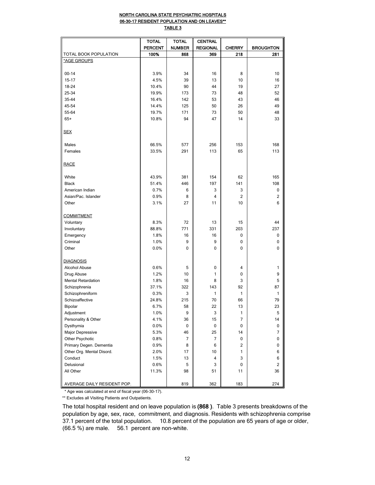## NORTH CAROLINA STATE PSYCHIATRIC HOSPITALS 06-30-17 RESIDENT POPULATION AND ON LEAVES\*\*

TABLE 3

|                             | <b>TOTAL</b>   | <b>TOTAL</b>  | <b>CENTRAL</b>  |                |                  |
|-----------------------------|----------------|---------------|-----------------|----------------|------------------|
|                             | <b>PERCENT</b> | <b>NUMBER</b> | <b>REGIONAL</b> | <b>CHERRY</b>  | <b>BROUGHTON</b> |
| TOTAL BOOK POPULATION       | 100%           | 868           | 369             | 218            | 281              |
| *AGE GROUPS                 |                |               |                 |                |                  |
|                             |                |               |                 |                |                  |
| $00 - 14$                   | 3.9%           | 34            | 16              | 8              | 10               |
| $15 - 17$                   | 4.5%           | 39            | 13              | 10             | 16               |
| 18-24                       | 10.4%          | 90            | 44              | 19             | 27               |
| 25-34                       | 19.9%          | 173           | 73              | 48             | 52               |
| 35-44                       | 16.4%          | 142           | 53              | 43             | 46               |
| 45-54                       | 14.4%          | 125           | 50              | 26             | 49               |
| 55-64                       | 19.7%          | 171           | 73              | 50             | 48               |
| $65+$                       | 10.8%          | 94            | 47              | 14             | 33               |
|                             |                |               |                 |                |                  |
| <b>SEX</b>                  |                |               |                 |                |                  |
|                             |                |               |                 |                |                  |
| Males                       | 66.5%          | 577           | 256             | 153            | 168              |
| Females                     | 33.5%          | 291           | 113             | 65             | 113              |
| <b>RACE</b>                 |                |               |                 |                |                  |
|                             |                |               |                 |                |                  |
| White                       | 43.9%          | 381           | 154             | 62             | 165              |
| <b>Black</b>                | 51.4%          | 446           | 197             | 141            | 108              |
| American Indian             | 0.7%           | 6             | 3               | 3              | 0                |
| Asian/Pac. Islander         | 0.9%           | 8             | 4               | $\overline{2}$ | 2                |
| Other                       | 3.1%           | 27            | 11              | 10             | 6                |
|                             |                |               |                 |                |                  |
| <b>COMMITMENT</b>           |                |               |                 |                |                  |
| Voluntary                   | 8.3%           | 72            | 13              | 15             | 44               |
| Involuntary                 | 88.8%          | 771           | 331             | 203            | 237              |
| Emergency                   | 1.8%           | 16            | 16              | $\mathbf{0}$   | $\Omega$         |
| Criminal                    | 1.0%           | 9             | 9               | 0              | 0                |
| Other                       | 0.0%           | 0             | 0               | 0              | 0                |
|                             |                |               |                 |                |                  |
| <b>DIAGNOSIS</b>            |                |               |                 |                |                  |
| Alcohol Abuse               | 0.6%           | 5             | 0               | $\overline{4}$ | 1                |
| Drug Abuse                  | 1.2%           | 10            | 1               | $\mathbf 0$    | 9                |
| <b>Mental Retardation</b>   | 1.8%           | 16            | 8               | 3              | 5                |
| Schizophrenia               | 37.1%          | 322           | 143             | 92             | 87               |
| Schizophreniform            | 0.3%           | 3             | 1               | $\mathbf{1}$   | 1                |
| Schizoaffective             | 24.8%          | 215           | 70              | 66             | 79               |
| Bipolar                     | 6.7%           | 58            | 22              | 13             | 23               |
| Adjustment                  | 1.0%           | 9             | 3               | 1              | 5                |
| Personality & Other         | 4.1%           | 36            | 15              | $\overline{7}$ | 14               |
| Dysthymia                   | 0.0%           | 0             | 0               | 0              | 0                |
| Major Depressive            | 5.3%           | 46            | 25              | 14             | 7                |
| Other Psychotic             | 0.8%           | 7             | 7               | 0              | 0                |
| Primary Degen. Dementia     | 0.9%           | 8             | 6               | $\overline{2}$ | 0                |
| Other Org. Mental Disord.   | 2.0%           | 17            | 10              | 1              | 6                |
| Conduct                     | 1.5%           | 13            | 4               | 3              | 6                |
| Delusional                  | 0.6%           | 5             | 3               | 0              | 2                |
| All Other                   | 11.3%          | 98            | 51              | 11             | 36               |
|                             |                |               |                 |                |                  |
| AVERAGE DAILY RESIDENT POP. |                | 819           | 362             | 183            | 274              |

\* Age was calculated at end of fiscal year (06-30-17).

\*\* Excludes all Visiting Patients and Outpatients.

The total hospital resident and on leave population is (868 ). Table 3 presents breakdowns of the population by age, sex, race, commitment, and diagnosis. Residents with schizophrenia comprise 37.1 percent of the total population. 10.8 percent of the population are 65 years of age or older, (66.5 %) are male. 56.1 percent are non-white.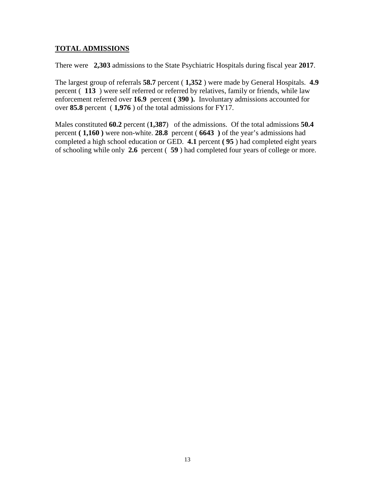# **TOTAL ADMISSIONS**

There were **2,303** admissions to the State Psychiatric Hospitals during fiscal year **2017**.

The largest group of referrals **58.7** percent ( **1,352** ) were made by General Hospitals. **4.9**  percent ( **113** ) were self referred or referred by relatives, family or friends, while law enforcement referred over **16.9** percent **( 390 ).** Involuntary admissions accounted for over **85.8** percent ( **1,976** ) of the total admissions for FY17.

Males constituted **60.2** percent (**1,387**) of the admissions. Of the total admissions **50.4** percent **( 1,160 )** were non-white. **28.8** percent ( **6643 )** of the year's admissions had completed a high school education or GED. **4.1** percent **( 95** ) had completed eight years of schooling while only **2.6** percent ( **59** ) had completed four years of college or more.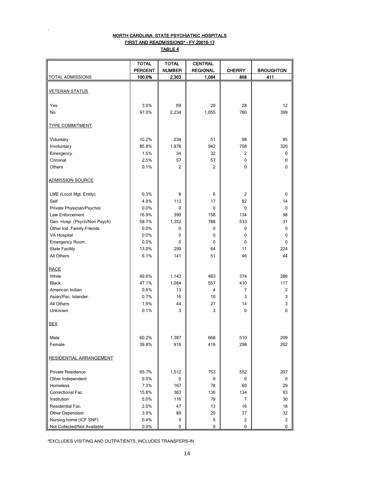## NORTH CAROLINA STATE PSYCHIATRIC HOSPITALS FIRST AND READMISSIONS\* - FY 20016-17 TABLE 4

.

|                              | <b>TOTAL</b>   | <b>TOTAL</b>   | <b>CENTRAL</b>  |               |                  |
|------------------------------|----------------|----------------|-----------------|---------------|------------------|
|                              | <b>PERCENT</b> | <b>NUMBER</b>  | <b>REGIONAL</b> | <b>CHERRY</b> | <b>BROUGHTON</b> |
| TOTAL ADMISSIONS             | 100.0%         | 2,303          | 1,084           | 808           | 411              |
| <b>VETERAN STATUS</b>        |                |                |                 |               |                  |
| Yes                          | 3.0%           | 69             | 29              | 28            | 12               |
| No                           | 97.0%          | 2,234          | 1,055           | 780           | 399              |
| <b>TYPE COMMITMENT</b>       |                |                |                 |               |                  |
| Voluntary                    | 10.2%          | 234            | 51              | 98            | 85               |
| Involuntary                  | 85.8%          | 1,976          | 942             | 708           | 326              |
| Emergency                    | 1.5%           | 34             | 32              | 2             | 0                |
| Criminal                     | 2.5%           | 57             | 57              | 0             | 0                |
| Others                       | 0.1%           | $\overline{2}$ | $\overline{2}$  | $\mathbf{0}$  | $\mathbf{0}$     |
| <b>ADMISSION SOURCE</b>      |                |                |                 |               |                  |
| LME (Local Mgt. Entity)      | 0.3%           | 8              | 6               | 2             | 0                |
| Self                         | 4.9%           | 113            | 17              | 82            | 14               |
| Private Physician/Psychol.   | 0.0%           | 0              | 0               | 0             | 0                |
| Law Enforcement              | 16.9%          | 390            | 158             | 134           | 98               |
| Gen. Hosp. (Psych/Non Psych) | 58.7%          | 1,352          | 788             | 533           | 31               |
| Other Ind. Family, Friends   | 0.0%           | 0              | 0               | 0             | 0                |
| VA Hospital                  | 0.0%           | 0              | 0               | 0             | 0                |
| Emergency Room               | 0.0%           | 0              | 0               | 0             | 0                |
| <b>State Facility</b>        | 13.0%          | 299            | 64              | 11            | 224              |
| All Others                   | 6.1%           | 141            | 51              | 46            | 44               |
| <b>RACE</b>                  |                |                |                 |               |                  |
| White                        | 49.6%          | 1,143          | 483             | 374           | 286              |
| <b>Black</b>                 | 47.1%          | 1,084          | 557             | 410           | 117              |
| American Indian              | 0.6%           | 13             | $\overline{4}$  | 7             | 2                |
| Asian/Pac. Islander.         | 0.7%           | 16             | 10              | 3             | 3                |
| All Others                   | 1.9%           | 44             | 27              | 14            | 3                |
| Unknown                      | 0.1%           | 3              | 3               | 0             | 0                |
|                              |                |                |                 |               |                  |
| <b>SEX</b>                   |                |                |                 |               |                  |
| Male                         | 60.2%          | 1,387          | 668             | 510           | 209              |
| Female                       | 39.8%          | 916            | 416             | 298           | 202              |
| RESIDENTIAL ARRANGEMENT      |                |                |                 |               |                  |
| <b>Private Residence</b>     | 65.7%          | 1,512          | 753             | 552           | 207              |
| Other Independent            | 0.0%           | 0              | 0               | 0             | 0                |
| Homeless                     | 7.3%           | 167            | 78              | 60            | 29               |
| Correctional Fac.            | 15.8%          | 363            | 136             | 134           | 93               |
| Institution                  | 5.0%           | 116            | 79              | 7             | 30               |
| Residential Fac.             | 2.0%           | 47             | 13              | 16            | 18               |
| Other Dependent              | 3.9%           | 89             | 20              | 37            | 32               |
| Nursing home (ICF SNF)       | 0.4%           | 9              | 5               | 2             | 2                |
| Not Collected/Not Available  | 0.0%           | 0              | 0               | 0             | 0                |

\*EXCLUDES VISITING AND OUTPATIENTS, INCLUDES TRANSFERS-IN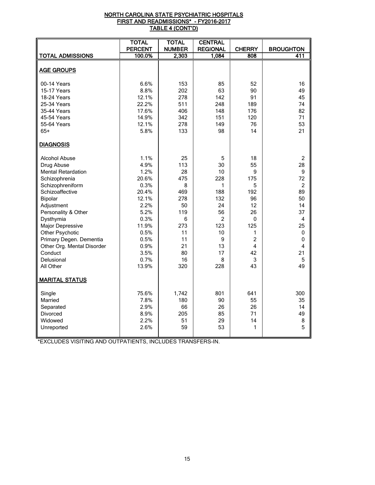### <u>NORTH CAROLINA STATE PSYCHIATRIC HOSPITALS</u> FIRST AND READMISSIONS\* - FY2016-2017 <u>TABLE 4 (CONT'D)</u>

|                            | <b>TOTAL</b><br><b>PERCENT</b> | <b>TOTAL</b><br><b>NUMBER</b> | <b>CENTRAL</b><br><b>REGIONAL</b> | <b>CHERRY</b>  | <b>BROUGHTON</b> |
|----------------------------|--------------------------------|-------------------------------|-----------------------------------|----------------|------------------|
| <b>TOTAL ADMISSIONS</b>    | 100.0%                         | 2,303                         | 1,084                             | 808            | 411              |
|                            |                                |                               |                                   |                |                  |
| <b>AGE GROUPS</b>          |                                |                               |                                   |                |                  |
|                            |                                |                               |                                   |                |                  |
| 00-14 Years                | 6.6%                           | 153                           | 85                                | 52             | 16               |
| 15-17 Years                | 8.8%                           | 202                           | 63                                | 90             | 49               |
| 18-24 Years                | 12.1%                          | 278                           | 142                               | 91             | 45               |
| 25-34 Years                | 22.2%                          | 511                           | 248                               | 189            | 74               |
| 35-44 Years                | 17.6%                          | 406                           | 148                               | 176            | 82               |
| 45-54 Years                | 14.9%                          | 342                           | 151                               | 120            | 71               |
| 55-64 Years                | 12.1%                          | 278                           | 149                               | 76             | 53               |
| $65+$                      | 5.8%                           | 133                           | 98                                | 14             | 21               |
| <b>DIAGNOSIS</b>           |                                |                               |                                   |                |                  |
| <b>Alcohol Abuse</b>       | 1.1%                           | 25                            | 5                                 | 18             | $\overline{2}$   |
| Drug Abuse                 | 4.9%                           | 113                           | 30                                | 55             | 28               |
| <b>Mental Retardation</b>  | 1.2%                           | 28                            | 10                                | 9              | $\boldsymbol{9}$ |
| Schizophrenia              | 20.6%                          | 475                           | 228                               | 175            | 72               |
| Schizophreniform           | 0.3%                           | 8                             | 1                                 | 5              | $\overline{2}$   |
| Schizoaffective            | 20.4%                          | 469                           | 188                               | 192            | 89               |
| Bipolar                    | 12.1%                          | 278                           | 132                               | 96             | 50               |
| Adjustment                 | 2.2%                           | 50                            | 24                                | 12             | 14               |
| Personality & Other        | 5.2%                           | 119                           | 56                                | 26             | 37               |
| Dysthymia                  | 0.3%                           | 6                             | $\overline{2}$                    | 0              | 4                |
| <b>Major Depressive</b>    | 11.9%                          | 273                           | 123                               | 125            | 25               |
| Other Psychotic            | 0.5%                           | 11                            | 10                                | 1              | 0                |
| Primary Degen. Dementia    | 0.5%                           | 11                            | 9                                 | $\overline{2}$ | 0                |
| Other Org. Mental Disorder | 0.9%                           | 21                            | 13                                | 4              | 4                |
| Conduct                    | 3.5%                           | 80                            | 17                                | 42             | 21               |
| Delusional                 | 0.7%                           | 16                            | 8                                 | 3              | 5                |
| All Other                  | 13.9%                          | 320                           | 228                               | 43             | 49               |
| <b>MARITAL STATUS</b>      |                                |                               |                                   |                |                  |
| Single                     | 75.6%                          | 1,742                         | 801                               | 641            | 300              |
| Married                    | 7.8%                           | 180                           | 90                                | 55             | 35               |
| Separated                  | 2.9%                           | 66                            | 26                                | 26             | 14               |
| Divorced                   | 8.9%                           | 205                           | 85                                | 71             | 49               |
| Widowed                    | 2.2%                           | 51                            | 29                                | 14             | 8                |
| Unreported                 | 2.6%                           | 59                            | 53                                | 1              | 5                |
|                            |                                |                               |                                   |                |                  |

\*EXCLUDES VISITING AND OUTPATIENTS, INCLUDES TRANSFERS-IN.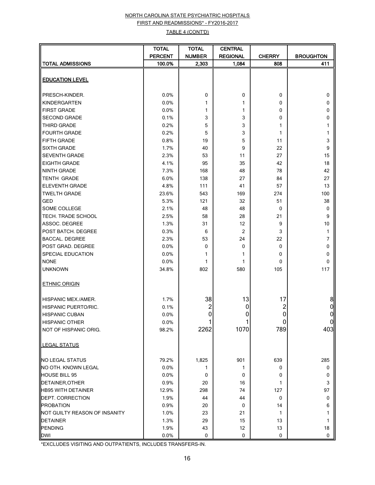# NORTH CAROLINA STATE PSYCHIATRIC HOSPITALS FIRST AND READMISSIONS\* - FY2016-2017

## TABLE 4 (CONT'D)

|                               | <b>TOTAL</b>   | <b>TOTAL</b>   | <b>CENTRAL</b>  |               |                  |
|-------------------------------|----------------|----------------|-----------------|---------------|------------------|
|                               | <b>PERCENT</b> | <b>NUMBER</b>  | <b>REGIONAL</b> | <b>CHERRY</b> | <b>BROUGHTON</b> |
| <b>TOTAL ADMISSIONS</b>       | 100.0%         | 2,303          | 1,084           | 808           | 411              |
|                               |                |                |                 |               |                  |
| <b>EDUCATION LEVEL</b>        |                |                |                 |               |                  |
|                               |                |                |                 |               |                  |
| PRESCH-KINDER.                | 0.0%           | 0              | 0               | 0             | 0                |
| KINDERGARTEN                  | 0.0%           | 1              | 1               | 0             | 0                |
| <b>FIRST GRADE</b>            | 0.0%           | 1              | 1               | 0             | 0                |
| <b>SECOND GRADE</b>           | 0.1%           | 3              | 3               | 0             | 0                |
| THIRD GRADE                   | 0.2%           | 5              | 3               | 1             | 1                |
| <b>FOURTH GRADE</b>           | 0.2%           | 5              | 3               | 1             | 1                |
| FIFTH GRADE                   | 0.8%           | 19             | 5               | 11            | 3                |
| <b>SIXTH GRADE</b>            | 1.7%           | 40             | 9               | 22            | 9                |
| <b>SEVENTH GRADE</b>          | 2.3%           | 53             | 11              | 27            | 15               |
| <b>EIGHTH GRADE</b>           | 4.1%           | 95             | 35              | 42            | 18               |
| <b>NINTH GRADE</b>            | 7.3%           | 168            | 48              | 78            | 42               |
| <b>TENTH GRADE</b>            | 6.0%           | 138            | 27              | 84            | 27               |
| <b>ELEVENTH GRADE</b>         | 4.8%           | 111            | 41              | 57            | 13               |
| <b>TWELTH GRADE</b>           | 23.6%          | 543            | 169             | 274           | 100              |
| <b>GED</b>                    | 5.3%           | 121            | 32              | 51            | 38               |
| SOME COLLEGE                  | 2.1%           | 48             | 48              | 0             | 0                |
| TECH. TRADE SCHOOL            | 2.5%           | 58             | 28              | 21            | 9                |
| ASSOC. DEGREE                 | 1.3%           | 31             | 12              | 9             | 10               |
| POST BATCH. DEGREE            | 0.3%           | 6              | 2               | 3             | 1                |
| <b>BACCAL. DEGREE</b>         | 2.3%           | 53             | 24              | 22            | 7                |
| POST GRAD. DEGREE             | 0.0%           | 0              | 0               | 0             | 0                |
| SPECIAL EDUCATION             | 0.0%           | 1              | 1               | 0             | 0                |
| <b>NONE</b>                   | 0.0%           | 1              | 1               | 0             | 0                |
| <b>UNKNOWN</b>                | 34.8%          | 802            | 580             | 105           | 117              |
| <b>ETHNIC ORIGIN</b>          |                |                |                 |               |                  |
| <b>HISPANIC MEX./AMER.</b>    | 1.7%           | 38             | 13              | 17            | 8                |
| <b>HISPANIC PUERTO/RIC.</b>   | 0.1%           | $\overline{c}$ | 0               | 2             |                  |
| <b>HISPANIC CUBAN</b>         | 0.0%           | 0              | 0               | $\pmb{0}$     | 0                |
| <b>HISPANIC OTHER</b>         | 0.0%           |                |                 | 0             | ΟI               |
| NOT OF HISPANIC ORIG.         | 98.2%          | 2262           | 1070            | 789           | 403              |
| <b>LEGAL STATUS</b>           |                |                |                 |               |                  |
| NO LEGAL STATUS               | 79.2%          | 1,825          | 901             | 639           | 285              |
| NO OTH. KNOWN LEGAL           | 0.0%           | 1              | 1               | 0             | 0                |
| <b>HOUSE BILL 95</b>          | 0.0%           | 0              | 0               | 0             | 0                |
| DETAINER, OTHER               | 0.9%           | 20             | 16              | 1             | 3                |
| <b>HB95 WITH DETAINER</b>     | 12.9%          | 298            | 74              | 127           | 97               |
| <b>DEPT. CORRECTION</b>       | 1.9%           | 44             | 44              | 0             | 0                |
| <b>PROBATION</b>              | 0.9%           | 20             | 0               | 14            | 6                |
| NOT GUILTY REASON OF INSANITY | 1.0%           | 23             | 21              | 1             | 1                |
| <b>DETAINER</b>               | 1.3%           | 29             | 15              | 13            | 1                |
| PENDING                       | 1.9%           | 43             | 12              | 13            | 18               |
| <b>DWI</b>                    | 0.0%           | 0              | 0               | $\mathbf 0$   | $\pmb{0}$        |

\*EXCLUDES VISITING AND OUTPATIENTS, INCLUDES TRANSFERS-IN.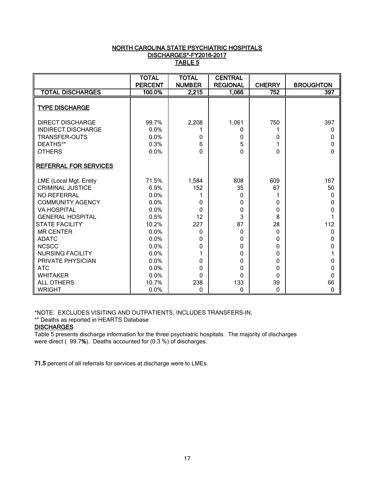## NORTH CAROLINA STATE PSYCHIATRIC HOSPITALS DISCHARGES\*-FY2016-2017 TABLE 5

|                              | <b>TOTAL</b>   | <b>TOTAL</b>  | <b>CENTRAL</b>  |               |                  |
|------------------------------|----------------|---------------|-----------------|---------------|------------------|
|                              | <b>PERCENT</b> | <b>NUMBER</b> | <b>REGIONAL</b> | <b>CHERRY</b> | <b>BROUGHTON</b> |
| <b>TOTAL DISCHARGES</b>      | 100.0%         | 2,215         | 1,066           | 752           | 397              |
| <b>TYPE DISCHARGE</b>        |                |               |                 |               |                  |
| <b>DIRECT DISCHARGE</b>      | 99.7%          | 2,208         | 1,061           | 750           | 397              |
| <b>INDIRECT DISCHARGE</b>    | 0.0%           |               | 0               |               | 0                |
| <b>TRANSFER-OUTS</b>         | 0.0%           | 0             | 0               | 0             | 0                |
| DEATHS**                     | 0.3%           | 6             | 5               |               | 0                |
| <b>OTHERS</b>                | 0.0%           | O             | 0               | 0             | 0                |
| <b>REFERRAL FOR SERVICES</b> |                |               |                 |               |                  |
| LME (Local Mgt. Entity       | 71.5%          | 1,584         | 808             | 609           | 167              |
| <b>CRIMINAL JUSTICE</b>      | 6.9%           | 152           | 35              | 67            | 50               |
| NO REFERRAL                  | 0.0%           |               | 0               |               | $\Omega$         |
| <b>COMMUNITY AGENCY</b>      | 0.0%           | 0             | 0               | 0             | 0                |
| <b>VA HOSPITAL</b>           | 0.0%           | 0             | 0               | 0             | 0                |
| <b>GENERAL HOSPITAL</b>      | 0.5%           | 12            | 3               | 8             |                  |
| <b>STATE FACILITY</b>        | 10.2%          | 227           | 87              | 28            | 112              |
| <b>MR CENTER</b>             | 0.0%           | 0             | 0               | $\Omega$      | 0                |
| <b>ADATC</b>                 | 0.0%           | 0             | 0               | 0             | 0                |
| <b>NCSCC</b>                 | 0.0%           | 0             | 0               | 0             | 0                |
| <b>NURSING FACILITY</b>      | 0.0%           |               | 0               | 0             |                  |
| PRIVATE PHYSICIAN            | 0.0%           | 0             | 0               | 0             | 0                |
| <b>ATC</b>                   | 0.0%           | 0             | 0               | 0             | 0                |
| <b>WHITAKER</b>              | 0.0%           | <sup>0</sup>  | 0               | 0             | 0                |
| <b>ALL OTHERS</b>            | 10.7%          | 238           | 133             | 39            | 66               |
| <b>WRIGHT</b>                | 0.0%           | 0             | 0               | 0             | 0                |

\*NOTE: EXCLUDES VISITING AND OUTPATIENTS, INCLUDES TRANSFERS-IN.

\*\* Deaths as reported in HEARTS Database

# **DISCHARGES**

Table 5 presents discharge information for the three psychiatric hospitals. The majority of discharges were direct ( 99.7%). Deaths accounted for (0.3 %) of discharges.

71.5 percent of all referrals for services at discharge were to LMEs.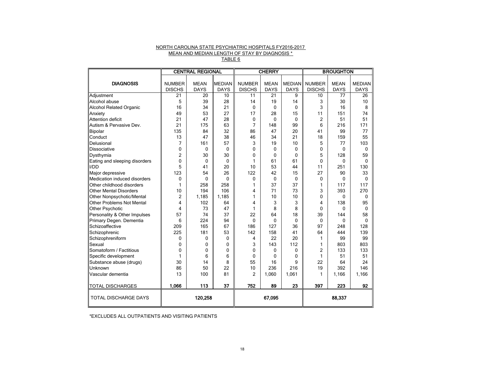# NORTH CAROLINA STATE PSYCHIATRIC HOSPITALS FY2016-2017 MEAN AND MEDIAN LENGTH OF STAY BY DIAGNOSIS \*

TABLE 6

|                                  |                                | <b>CENTRAL REGIONAL</b>    |                              | <b>CHERRY</b>                  |                            | <b>BROUGHTON</b>             |                                |                            |                              |
|----------------------------------|--------------------------------|----------------------------|------------------------------|--------------------------------|----------------------------|------------------------------|--------------------------------|----------------------------|------------------------------|
| <b>DIAGNOSIS</b>                 | <b>NUMBER</b><br><b>DISCHS</b> | <b>MEAN</b><br><b>DAYS</b> | <b>MEDIAN</b><br><b>DAYS</b> | <b>NUMBER</b><br><b>DISCHS</b> | <b>MEAN</b><br><b>DAYS</b> | <b>MEDIAN</b><br><b>DAYS</b> | <b>NUMBER</b><br><b>DISCHS</b> | <b>MEAN</b><br><b>DAYS</b> | <b>MEDIAN</b><br><b>DAYS</b> |
| Adjustment                       | 21                             | 20                         | 10                           | 11                             | 21                         | 9                            | 10                             | 77                         | 26                           |
| Alcohol abuse                    | 5                              | 39                         | 28                           | 14                             | 19                         | 14                           | 3                              | 30                         | 10                           |
| <b>Alcohol Related Organic</b>   | 16                             | 34                         | 21                           | 0                              | 0                          | 0                            | 3                              | 16                         | 8                            |
| Anxiety                          | 49                             | 53                         | 27                           | 17                             | 28                         | 15                           | 11                             | 151                        | 74                           |
| Attention deficit                | 21                             | 47                         | 28                           | 0                              | 0                          | $\mathbf{0}$                 | 2                              | 51                         | 51                           |
| Autism & Pervasive Dev.          | 21                             | 175                        | 63                           | 7                              | 148                        | 99                           | 6                              | 216                        | 171                          |
| Bipolar                          | 135                            | 84                         | 32                           | 86                             | 47                         | 20                           | 41                             | 99                         | 77                           |
| Conduct                          | 13                             | 47                         | 38                           | 46                             | 34                         | 21                           | 18                             | 159                        | 55                           |
| Delusional                       | 7                              | 161                        | 57                           | 3                              | 19                         | 10                           | 5                              | 77                         | 103                          |
| Dissociative                     | 0                              | $\mathbf{0}$               | $\mathbf{0}$                 | 0                              | $\mathbf{0}$               | $\mathbf{0}$                 | 0                              | $\mathbf{0}$               | 0                            |
| Dysthymia                        | 2                              | 30                         | 30                           | 0                              | $\mathbf{0}$               | $\mathbf{0}$                 | 5                              | 128                        | 59                           |
| Eating and sleeping disorders    | 0                              | $\Omega$                   | $\Omega$                     | 1                              | 61                         | 61                           | 0                              | $\Omega$                   | 0                            |
| I/DD                             | 5                              | 41                         | 20                           | 10                             | 53                         | 44                           | 11                             | 251                        | 130                          |
| Major depressive                 | 123                            | 54                         | 26                           | 122                            | 42                         | 15                           | 27                             | 90                         | 33                           |
| Medication induced disorders     | 0                              | $\mathbf{0}$               | $\mathbf 0$                  | 0                              | 0                          | $\mathbf 0$                  | 0                              | 0                          | 0                            |
| Other childhood disorders        | 1                              | 258                        | 258                          | $\mathbf{1}$                   | 37                         | 37                           | 1                              | 117                        | 117                          |
| Other Mental Disorders           | 10                             | 194                        | 106                          | 4                              | 71                         | 73                           | 3                              | 393                        | 270                          |
| Other Nonpsychotic/Mental        | 2                              | 1,185                      | 1,185                        | 1                              | 10                         | 10                           | 0                              | 0                          | 0                            |
| <b>Other Problems Not Mental</b> | 4                              | 102                        | 64                           | 4                              | 3                          | 3                            | 4                              | 138                        | 95                           |
| Other Psychotic                  | 4                              | 73                         | 47                           | 1                              | 8                          | 8                            | 0                              | 0                          | 0                            |
| Personality & Other Impulses     | 57                             | 74                         | 37                           | 22                             | 64                         | 18                           | 39                             | 144                        | 58                           |
| Primary Degen. Dementia          | 6                              | 224                        | 94                           | $\mathbf{0}$                   | 0                          | $\mathbf{0}$                 | 0                              | $\mathbf{0}$               | 0                            |
| Schizoaffective                  | 209                            | 165                        | 67                           | 186                            | 127                        | 36                           | 97                             | 248                        | 128                          |
| Schizophrenic                    | 225                            | 181                        | 53                           | 142                            | 158                        | 41                           | 64                             | 444                        | 139                          |
| Schizophreniform                 | 0                              | $\mathbf{0}$               | $\mathbf{0}$                 | 4                              | 22                         | 20                           | 1                              | 99                         | 99                           |
| Sexual                           | 0                              | $\mathbf{0}$               | $\mathbf{0}$                 | 3                              | 143                        | 112                          | 1                              | 803                        | 803                          |
| Somatoform / Factitious          | $\mathbf 0$                    | $\mathbf 0$                | $\mathbf{0}$                 | 0                              | 0                          | $\mathbf{0}$                 | 2                              | 133                        | 133                          |
| Specific development             | 1                              | 6                          | 6                            | $\mathbf 0$                    | 0                          | 0                            | 1                              | 51                         | 51                           |
| Substance abuse (drugs)          | 30                             | 14                         | 8                            | 55                             | 16                         | 9                            | 22                             | 64                         | 24                           |
| <b>Unknown</b>                   | 86                             | 50                         | 22                           | 10                             | 236                        | 216                          | 19                             | 392                        | 146                          |
| Vascular dementia                | 13                             | 100                        | 81                           | $\overline{2}$                 | 1,060                      | 1,061                        | 1                              | 1,166                      | 1,166                        |
| <b>TOTAL DISCHARGES</b>          | 1,066                          | 113                        | 37                           | 752                            | 89                         | 23                           | 397                            | 223                        | 92                           |
| TOTAL DISCHARGE DAYS             |                                | 120,258                    |                              |                                | 67,095                     |                              |                                | 88,337                     |                              |

\*EXCLUDES ALL OUTPATIENTS AND VISITING PATIENTS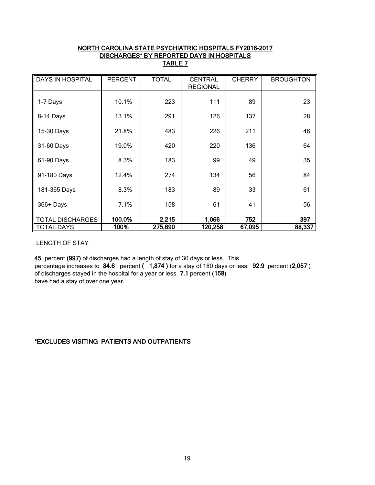## NORTH CAROLINA STATE PSYCHIATRIC HOSPITALS FY2016-2017 DISCHARGES\* BY REPORTED DAYS IN HOSPITALS TABLE 7

| <b>DAYS IN HOSPITAL</b> | <b>PERCENT</b> | <b>TOTAL</b> | <b>CENTRAL</b>  | <b>CHERRY</b> | <b>BROUGHTON</b> |
|-------------------------|----------------|--------------|-----------------|---------------|------------------|
|                         |                |              | <b>REGIONAL</b> |               |                  |
|                         |                |              |                 |               |                  |
| 1-7 Days                | 10.1%          | 223          | 111             | 89            | 23               |
|                         |                |              |                 |               |                  |
|                         |                |              |                 |               |                  |
| 8-14 Days               | 13.1%          | 291          | 126             | 137           | 28               |
|                         |                |              |                 |               |                  |
| 15-30 Days              | 21.8%          | 483          | 226             | 211           | 46               |
|                         |                |              |                 |               |                  |
| 31-60 Days              | 19.0%          | 420          | 220             | 136           | 64               |
|                         |                |              |                 |               |                  |
|                         |                |              |                 | 49            |                  |
| 61-90 Days              | 8.3%           | 183          | 99              |               | 35               |
|                         |                |              |                 |               |                  |
| 91-180 Days             | 12.4%          | 274          | 134             | 56            | 84               |
|                         |                |              |                 |               |                  |
| 181-365 Days            | 8.3%           | 183          | 89              | 33            | 61               |
|                         |                |              |                 |               |                  |
| 366+ Days               | 7.1%           | 158          | 61              | 41            | 56               |
|                         |                |              |                 |               |                  |
|                         |                |              |                 |               |                  |
| <b>TOTAL DISCHARGES</b> | 100.0%         | 2,215        | 1,066           | 752           | 397              |
| <b>TOTAL DAYS</b>       | 100%           | 275,690      | 120,258         | 67,095        | 88,337           |

## LENGTH OF STAY

45 percent (997) of discharges had a length of stay of 30 days or less. This percentage increases to 84.6 percent (1,874) for a stay of 180 days or less. 92.9 percent (2,057) of discharges stayed in the hospital for a year or less. 7.1 percent (158) have had a stay of over one year.

# \*EXCLUDES VISITING PATIENTS AND OUTPATIENTS